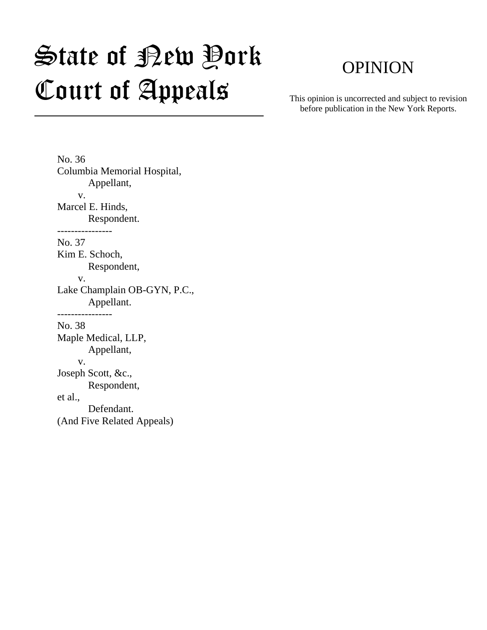# State of Bew Pork Court of Appeals

## OPINION

This opinion is uncorrected and subject to revision before publication in the New York Reports.

No. 36 Columbia Memorial Hospital, Appellant, v. Marcel E. Hinds, Respondent. ---------------- No. 37 Kim E. Schoch, Respondent, v. Lake Champlain OB-GYN, P.C., Appellant. ---------------- No. 38 Maple Medical, LLP, Appellant, v. Joseph Scott, &c., Respondent, et al., Defendant. (And Five Related Appeals)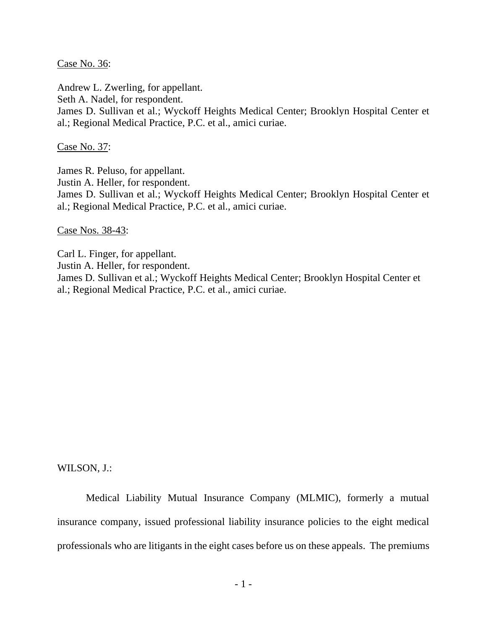Case No. 36:

Andrew L. Zwerling, for appellant.

Seth A. Nadel, for respondent.

James D. Sullivan et al.; Wyckoff Heights Medical Center; Brooklyn Hospital Center et al.; Regional Medical Practice, P.C. et al., amici curiae.

Case No. 37:

James R. Peluso, for appellant.

Justin A. Heller, for respondent.

James D. Sullivan et al.; Wyckoff Heights Medical Center; Brooklyn Hospital Center et al.; Regional Medical Practice, P.C. et al., amici curiae.

Case Nos. 38-43:

Carl L. Finger, for appellant.

Justin A. Heller, for respondent.

James D. Sullivan et al.; Wyckoff Heights Medical Center; Brooklyn Hospital Center et al.; Regional Medical Practice, P.C. et al., amici curiae.

WILSON, J.:

Medical Liability Mutual Insurance Company (MLMIC), formerly a mutual insurance company, issued professional liability insurance policies to the eight medical professionals who are litigants in the eight cases before us on these appeals. The premiums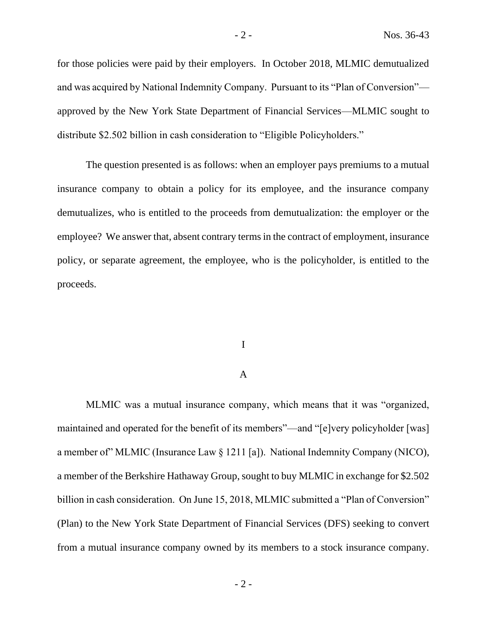for those policies were paid by their employers. In October 2018, MLMIC demutualized and was acquired by National Indemnity Company. Pursuant to its "Plan of Conversion" approved by the New York State Department of Financial Services—MLMIC sought to distribute \$2.502 billion in cash consideration to "Eligible Policyholders."

The question presented is as follows: when an employer pays premiums to a mutual insurance company to obtain a policy for its employee, and the insurance company demutualizes, who is entitled to the proceeds from demutualization: the employer or the employee? We answer that, absent contrary terms in the contract of employment, insurance policy, or separate agreement, the employee, who is the policyholder, is entitled to the proceeds.

#### I

### A

MLMIC was a mutual insurance company, which means that it was "organized, maintained and operated for the benefit of its members"—and "[e]very policyholder [was] a member of" MLMIC (Insurance Law § 1211 [a]). National Indemnity Company (NICO), a member of the Berkshire Hathaway Group, sought to buy MLMIC in exchange for \$2.502 billion in cash consideration. On June 15, 2018, MLMIC submitted a "Plan of Conversion" (Plan) to the New York State Department of Financial Services (DFS) seeking to convert from a mutual insurance company owned by its members to a stock insurance company.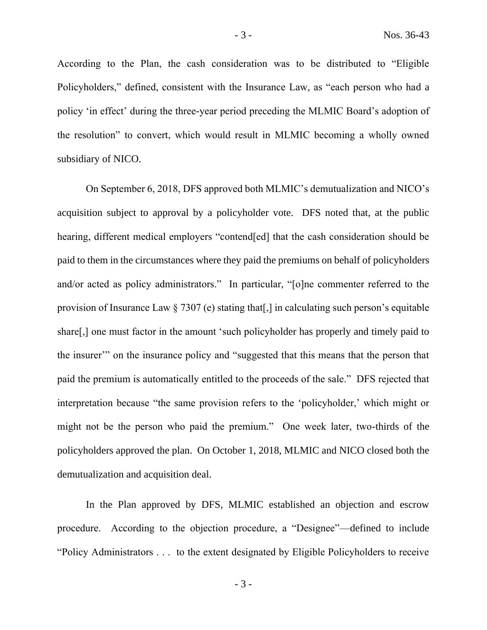According to the Plan, the cash consideration was to be distributed to "Eligible Policyholders," defined, consistent with the Insurance Law, as "each person who had a policy 'in effect' during the three-year period preceding the MLMIC Board's adoption of the resolution" to convert, which would result in MLMIC becoming a wholly owned subsidiary of NICO.

On September 6, 2018, DFS approved both MLMIC's demutualization and NICO's acquisition subject to approval by a policyholder vote. DFS noted that, at the public hearing, different medical employers "contend[ed] that the cash consideration should be paid to them in the circumstances where they paid the premiums on behalf of policyholders and/or acted as policy administrators." In particular, "[o]ne commenter referred to the provision of Insurance Law  $\S 7307$  (e) stating that [,] in calculating such person's equitable share[,] one must factor in the amount 'such policyholder has properly and timely paid to the insurer'" on the insurance policy and "suggested that this means that the person that paid the premium is automatically entitled to the proceeds of the sale." DFS rejected that interpretation because "the same provision refers to the 'policyholder,' which might or might not be the person who paid the premium." One week later, two-thirds of the policyholders approved the plan. On October 1, 2018, MLMIC and NICO closed both the demutualization and acquisition deal.

In the Plan approved by DFS, MLMIC established an objection and escrow procedure. According to the objection procedure, a "Designee"—defined to include "Policy Administrators . . . to the extent designated by Eligible Policyholders to receive

- 3 -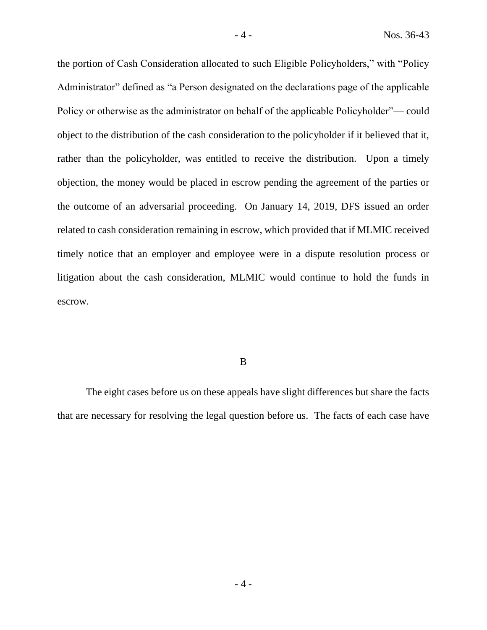the portion of Cash Consideration allocated to such Eligible Policyholders," with "Policy Administrator" defined as "a Person designated on the declarations page of the applicable Policy or otherwise as the administrator on behalf of the applicable Policyholder"— could object to the distribution of the cash consideration to the policyholder if it believed that it, rather than the policyholder, was entitled to receive the distribution. Upon a timely objection, the money would be placed in escrow pending the agreement of the parties or the outcome of an adversarial proceeding. On January 14, 2019, DFS issued an order related to cash consideration remaining in escrow, which provided that if MLMIC received timely notice that an employer and employee were in a dispute resolution process or litigation about the cash consideration, MLMIC would continue to hold the funds in escrow.

B

The eight cases before us on these appeals have slight differences but share the facts that are necessary for resolving the legal question before us. The facts of each case have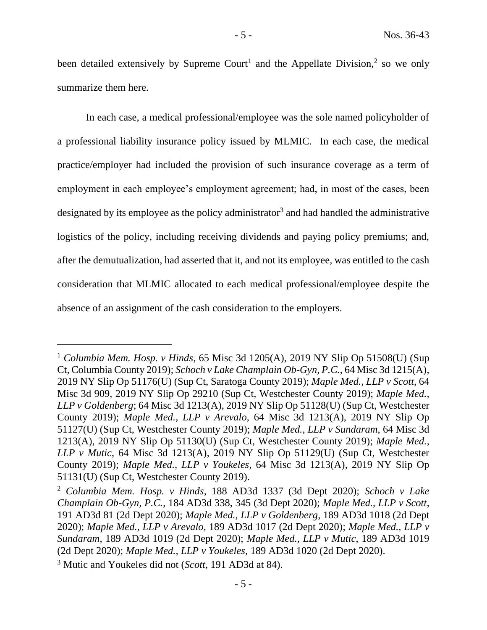been detailed extensively by Supreme Court<sup>1</sup> and the Appellate Division,<sup>2</sup> so we only summarize them here.

In each case, a medical professional/employee was the sole named policyholder of a professional liability insurance policy issued by MLMIC. In each case, the medical practice/employer had included the provision of such insurance coverage as a term of employment in each employee's employment agreement; had, in most of the cases, been designated by its employee as the policy administrator<sup>3</sup> and had handled the administrative logistics of the policy, including receiving dividends and paying policy premiums; and, after the demutualization, had asserted that it, and not its employee, was entitled to the cash consideration that MLMIC allocated to each medical professional/employee despite the absence of an assignment of the cash consideration to the employers.

<sup>1</sup> *Columbia Mem. Hosp. v Hinds*, 65 Misc 3d 1205(A), 2019 NY Slip Op 51508(U) (Sup Ct, Columbia County 2019); *Schoch v Lake Champlain Ob-Gyn, P.C.*, 64 Misc 3d 1215(A), 2019 NY Slip Op 51176(U) (Sup Ct, Saratoga County 2019); *Maple Med., LLP v Scott*, 64 Misc 3d 909, 2019 NY Slip Op 29210 (Sup Ct, Westchester County 2019); *Maple Med., LLP v Goldenberg*; 64 Misc 3d 1213(A), 2019 NY Slip Op 51128(U) (Sup Ct, Westchester County 2019); *Maple Med., LLP v Arevalo*, 64 Misc 3d 1213(A), 2019 NY Slip Op 51127(U) (Sup Ct, Westchester County 2019); *Maple Med., LLP v Sundaram*, 64 Misc 3d 1213(A), 2019 NY Slip Op 51130(U) (Sup Ct, Westchester County 2019); *Maple Med., LLP v Mutic*, 64 Misc 3d 1213(A), 2019 NY Slip Op 51129(U) (Sup Ct, Westchester County 2019); *Maple Med., LLP v Youkeles*, 64 Misc 3d 1213(A), 2019 NY Slip Op 51131(U) (Sup Ct, Westchester County 2019).

<sup>2</sup> *Columbia Mem. Hosp. v Hinds*, 188 AD3d 1337 (3d Dept 2020); *Schoch v Lake Champlain Ob-Gyn, P.C.*, 184 AD3d 338, 345 (3d Dept 2020); *Maple Med., LLP v Scott*, 191 AD3d 81 (2d Dept 2020); *Maple Med., LLP v Goldenberg*, 189 AD3d 1018 (2d Dept 2020); *Maple Med., LLP v Arevalo*, 189 AD3d 1017 (2d Dept 2020); *Maple Med., LLP v Sundaram*, 189 AD3d 1019 (2d Dept 2020); *Maple Med., LLP v Mutic*, 189 AD3d 1019 (2d Dept 2020); *Maple Med., LLP v Youkeles*, 189 AD3d 1020 (2d Dept 2020).

<sup>3</sup> Mutic and Youkeles did not (*Scott*, 191 AD3d at 84).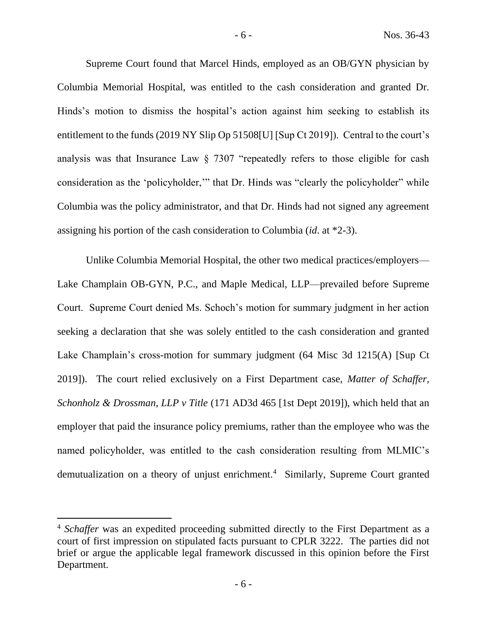Supreme Court found that Marcel Hinds, employed as an OB/GYN physician by Columbia Memorial Hospital, was entitled to the cash consideration and granted Dr. Hinds's motion to dismiss the hospital's action against him seeking to establish its entitlement to the funds (2019 NY Slip Op 51508[U] [Sup Ct 2019]). Central to the court's analysis was that Insurance Law § 7307 "repeatedly refers to those eligible for cash consideration as the 'policyholder,'" that Dr. Hinds was "clearly the policyholder" while Columbia was the policy administrator, and that Dr. Hinds had not signed any agreement assigning his portion of the cash consideration to Columbia (*id*. at \*2-3).

Unlike Columbia Memorial Hospital, the other two medical practices/employers— Lake Champlain OB-GYN, P.C., and Maple Medical, LLP—prevailed before Supreme Court. Supreme Court denied Ms. Schoch's motion for summary judgment in her action seeking a declaration that she was solely entitled to the cash consideration and granted Lake Champlain's cross-motion for summary judgment (64 Misc 3d 1215(A) [Sup Ct 2019]). The court relied exclusively on a First Department case, *Matter of Schaffer, Schonholz & Drossman, LLP v Title* (171 AD3d 465 [1st Dept 2019]), which held that an employer that paid the insurance policy premiums, rather than the employee who was the named policyholder, was entitled to the cash consideration resulting from MLMIC's demutualization on a theory of unjust enrichment.<sup>4</sup> Similarly, Supreme Court granted

<sup>4</sup> *Schaffer* was an expedited proceeding submitted directly to the First Department as a court of first impression on stipulated facts pursuant to CPLR 3222. The parties did not brief or argue the applicable legal framework discussed in this opinion before the First Department.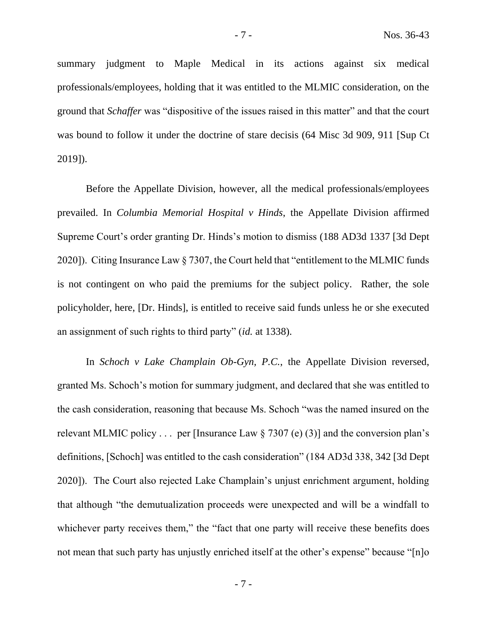summary judgment to Maple Medical in its actions against six medical professionals/employees, holding that it was entitled to the MLMIC consideration, on the ground that *Schaffer* was "dispositive of the issues raised in this matter" and that the court was bound to follow it under the doctrine of stare decisis (64 Misc 3d 909, 911 [Sup Ct 2019]).

Before the Appellate Division, however, all the medical professionals/employees prevailed. In *Columbia Memorial Hospital v Hinds*, the Appellate Division affirmed Supreme Court's order granting Dr. Hinds's motion to dismiss (188 AD3d 1337 [3d Dept 2020]). Citing Insurance Law § 7307, the Court held that "entitlement to the MLMIC funds is not contingent on who paid the premiums for the subject policy. Rather, the sole policyholder, here, [Dr. Hinds], is entitled to receive said funds unless he or she executed an assignment of such rights to third party" (*id.* at 1338).

In *Schoch v Lake Champlain Ob-Gyn, P.C.*, the Appellate Division reversed, granted Ms. Schoch's motion for summary judgment, and declared that she was entitled to the cash consideration, reasoning that because Ms. Schoch "was the named insured on the relevant MLMIC policy  $\ldots$  per [Insurance Law § 7307 (e) (3)] and the conversion plan's definitions, [Schoch] was entitled to the cash consideration" (184 AD3d 338, 342 [3d Dept 2020]). The Court also rejected Lake Champlain's unjust enrichment argument, holding that although "the demutualization proceeds were unexpected and will be a windfall to whichever party receives them," the "fact that one party will receive these benefits does not mean that such party has unjustly enriched itself at the other's expense" because "[n]o

- 7 -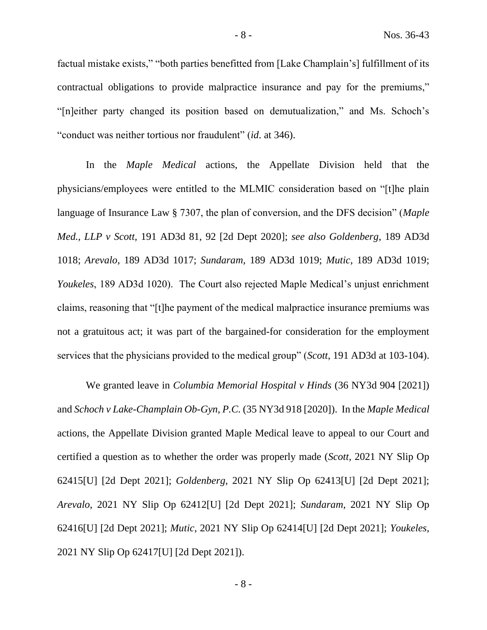factual mistake exists," "both parties benefitted from [Lake Champlain's] fulfillment of its contractual obligations to provide malpractice insurance and pay for the premiums," "[n]either party changed its position based on demutualization," and Ms. Schoch's "conduct was neither tortious nor fraudulent" (*id*. at 346).

In the *Maple Medical* actions, the Appellate Division held that the physicians/employees were entitled to the MLMIC consideration based on "[t]he plain language of Insurance Law § 7307, the plan of conversion, and the DFS decision" (*Maple Med., LLP v Scott,* 191 AD3d 81, 92 [2d Dept 2020]; *see also Goldenberg*, 189 AD3d 1018; *Arevalo*, 189 AD3d 1017; *Sundaram*, 189 AD3d 1019; *Mutic*, 189 AD3d 1019; *Youkeles*, 189 AD3d 1020). The Court also rejected Maple Medical's unjust enrichment claims, reasoning that "[t]he payment of the medical malpractice insurance premiums was not a gratuitous act; it was part of the bargained-for consideration for the employment services that the physicians provided to the medical group" (*Scott*, 191 AD3d at 103-104).

We granted leave in *Columbia Memorial Hospital v Hinds* (36 NY3d 904 [2021]) and *Schoch v Lake-Champlain Ob-Gyn, P.C.* (35 NY3d 918 [2020]). In the *Maple Medical*  actions, the Appellate Division granted Maple Medical leave to appeal to our Court and certified a question as to whether the order was properly made (*Scott,* 2021 NY Slip Op 62415[U] [2d Dept 2021]; *Goldenberg*, 2021 NY Slip Op 62413[U] [2d Dept 2021]; *Arevalo*, 2021 NY Slip Op 62412[U] [2d Dept 2021]; *Sundaram*, 2021 NY Slip Op 62416[U] [2d Dept 2021]; *Mutic*, 2021 NY Slip Op 62414[U] [2d Dept 2021]; *Youkeles*, 2021 NY Slip Op 62417[U] [2d Dept 2021]).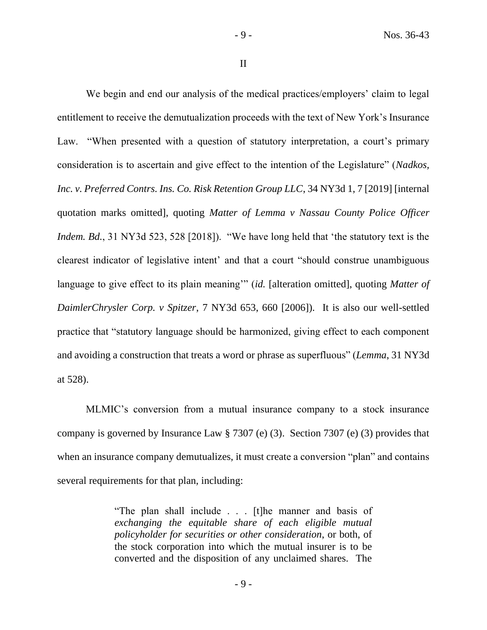II

We begin and end our analysis of the medical practices/employers' claim to legal entitlement to receive the demutualization proceeds with the text of New York's Insurance Law. "When presented with a question of statutory interpretation, a court's primary consideration is to ascertain and give effect to the intention of the Legislature" (*Nadkos, Inc. v. Preferred Contrs. Ins. Co. Risk Retention Group LLC*, 34 NY3d 1, 7 [2019] [internal quotation marks omitted], quoting *Matter of Lemma v Nassau County Police Officer Indem. Bd.*, 31 NY3d 523, 528 [2018]). "We have long held that 'the statutory text is the clearest indicator of legislative intent' and that a court "should construe unambiguous language to give effect to its plain meaning'" (*id.* [alteration omitted], quoting *Matter of DaimlerChrysler Corp. v Spitzer*, 7 NY3d 653, 660 [2006]). It is also our well-settled practice that "statutory language should be harmonized, giving effect to each component and avoiding a construction that treats a word or phrase as superfluous" (*Lemma*, 31 NY3d at 528).

MLMIC's conversion from a mutual insurance company to a stock insurance company is governed by Insurance Law § 7307 (e) (3). Section 7307 (e) (3) provides that when an insurance company demutualizes, it must create a conversion "plan" and contains several requirements for that plan, including:

> "The plan shall include . . . [t]he manner and basis of *exchanging the equitable share of each eligible mutual policyholder for securities or other consideration*, or both, of the stock corporation into which the mutual insurer is to be converted and the disposition of any unclaimed shares. The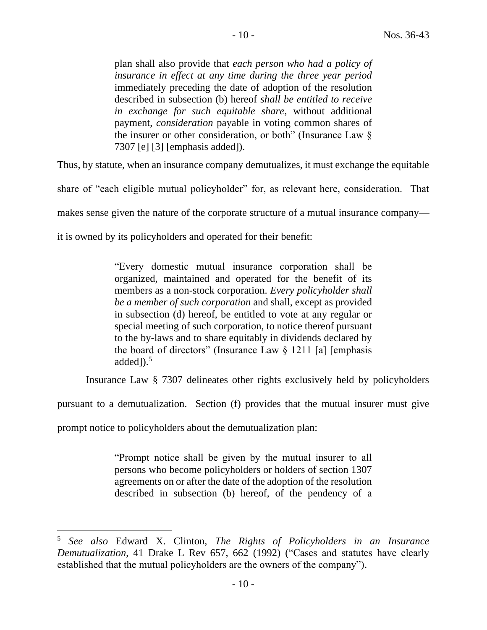plan shall also provide that *each person who had a policy of insurance in effect at any time during the three year period* immediately preceding the date of adoption of the resolution described in subsection (b) hereof *shall be entitled to receive in exchange for such equitable share*, without additional payment, *consideration* payable in voting common shares of the insurer or other consideration, or both" (Insurance Law § 7307 [e] [3] [emphasis added]).

Thus, by statute, when an insurance company demutualizes, it must exchange the equitable

share of "each eligible mutual policyholder" for, as relevant here, consideration. That

makes sense given the nature of the corporate structure of a mutual insurance company—

it is owned by its policyholders and operated for their benefit:

"Every domestic mutual insurance corporation shall be organized, maintained and operated for the benefit of its members as a non-stock corporation. *Every policyholder shall be a member of such corporation* and shall, except as provided in subsection (d) hereof, be entitled to vote at any regular or special meeting of such corporation, to notice thereof pursuant to the by-laws and to share equitably in dividends declared by the board of directors" (Insurance Law  $\S$  1211 [a] [emphasis added $]$ ).<sup>5</sup>

Insurance Law § 7307 delineates other rights exclusively held by policyholders

pursuant to a demutualization. Section (f) provides that the mutual insurer must give

prompt notice to policyholders about the demutualization plan:

"Prompt notice shall be given by the mutual insurer to all persons who become policyholders or holders of section 1307 agreements on or after the date of the adoption of the resolution described in subsection (b) hereof, of the pendency of a

<sup>5</sup> *See also* Edward X. Clinton, *The Rights of Policyholders in an Insurance Demutualization*, 41 Drake L Rev 657, 662 (1992) ("Cases and statutes have clearly established that the mutual policyholders are the owners of the company").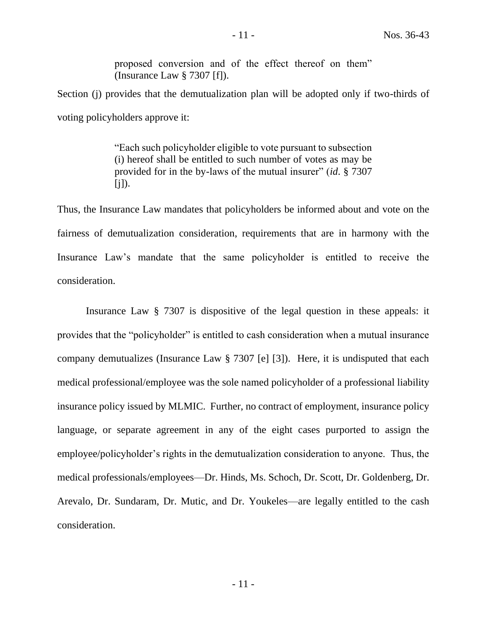proposed conversion and of the effect thereof on them" (Insurance Law § 7307 [f]).

Section (j) provides that the demutualization plan will be adopted only if two-thirds of voting policyholders approve it:

> "Each such policyholder eligible to vote pursuant to subsection (i) hereof shall be entitled to such number of votes as may be provided for in the by-laws of the mutual insurer" (*id*. § 7307  $[i]$ ).

Thus, the Insurance Law mandates that policyholders be informed about and vote on the fairness of demutualization consideration, requirements that are in harmony with the Insurance Law's mandate that the same policyholder is entitled to receive the consideration.

Insurance Law § 7307 is dispositive of the legal question in these appeals: it provides that the "policyholder" is entitled to cash consideration when a mutual insurance company demutualizes (Insurance Law § 7307 [e] [3]). Here, it is undisputed that each medical professional/employee was the sole named policyholder of a professional liability insurance policy issued by MLMIC. Further, no contract of employment, insurance policy language, or separate agreement in any of the eight cases purported to assign the employee/policyholder's rights in the demutualization consideration to anyone. Thus, the medical professionals/employees—Dr. Hinds, Ms. Schoch, Dr. Scott, Dr. Goldenberg, Dr. Arevalo, Dr. Sundaram, Dr. Mutic, and Dr. Youkeles—are legally entitled to the cash consideration.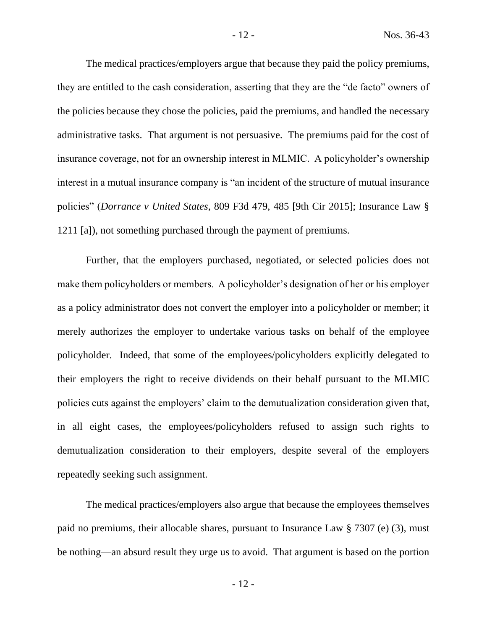The medical practices/employers argue that because they paid the policy premiums, they are entitled to the cash consideration, asserting that they are the "de facto" owners of the policies because they chose the policies, paid the premiums, and handled the necessary administrative tasks. That argument is not persuasive. The premiums paid for the cost of insurance coverage, not for an ownership interest in MLMIC. A policyholder's ownership interest in a mutual insurance company is "an incident of the structure of mutual insurance policies" (*Dorrance v United States*, 809 F3d 479, 485 [9th Cir 2015]; Insurance Law § 1211 [a]), not something purchased through the payment of premiums.

Further, that the employers purchased, negotiated, or selected policies does not make them policyholders or members. A policyholder's designation of her or his employer as a policy administrator does not convert the employer into a policyholder or member; it merely authorizes the employer to undertake various tasks on behalf of the employee policyholder. Indeed, that some of the employees/policyholders explicitly delegated to their employers the right to receive dividends on their behalf pursuant to the MLMIC policies cuts against the employers' claim to the demutualization consideration given that, in all eight cases, the employees/policyholders refused to assign such rights to demutualization consideration to their employers, despite several of the employers repeatedly seeking such assignment.

The medical practices/employers also argue that because the employees themselves paid no premiums, their allocable shares, pursuant to Insurance Law § 7307 (e) (3), must be nothing—an absurd result they urge us to avoid. That argument is based on the portion

- 12 -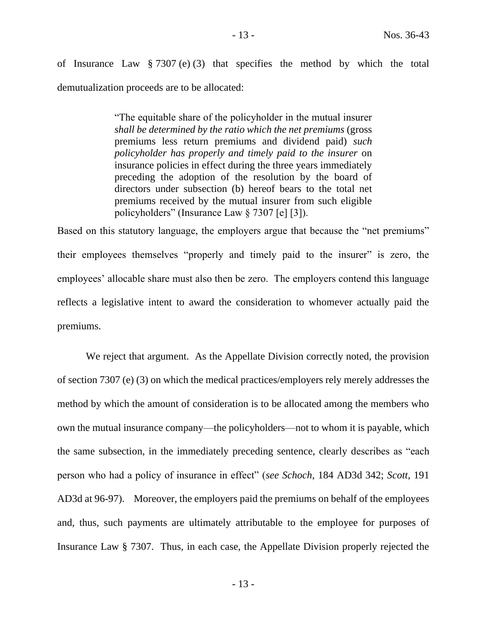"The equitable share of the policyholder in the mutual insurer *shall be determined by the ratio which the net premiums* (gross premiums less return premiums and dividend paid) *such policyholder has properly and timely paid to the insurer* on insurance policies in effect during the three years immediately preceding the adoption of the resolution by the board of directors under subsection (b) hereof bears to the total net premiums received by the mutual insurer from such eligible policyholders" (Insurance Law § 7307 [e] [3]).

Based on this statutory language, the employers argue that because the "net premiums" their employees themselves "properly and timely paid to the insurer" is zero, the employees' allocable share must also then be zero. The employers contend this language reflects a legislative intent to award the consideration to whomever actually paid the premiums.

We reject that argument. As the Appellate Division correctly noted, the provision of section 7307 (e) (3) on which the medical practices/employers rely merely addresses the method by which the amount of consideration is to be allocated among the members who own the mutual insurance company—the policyholders—not to whom it is payable, which the same subsection, in the immediately preceding sentence, clearly describes as "each person who had a policy of insurance in effect" (*see Schoch*, 184 AD3d 342; *Scott*, 191 AD3d at 96-97). Moreover, the employers paid the premiums on behalf of the employees and, thus, such payments are ultimately attributable to the employee for purposes of Insurance Law § 7307. Thus, in each case, the Appellate Division properly rejected the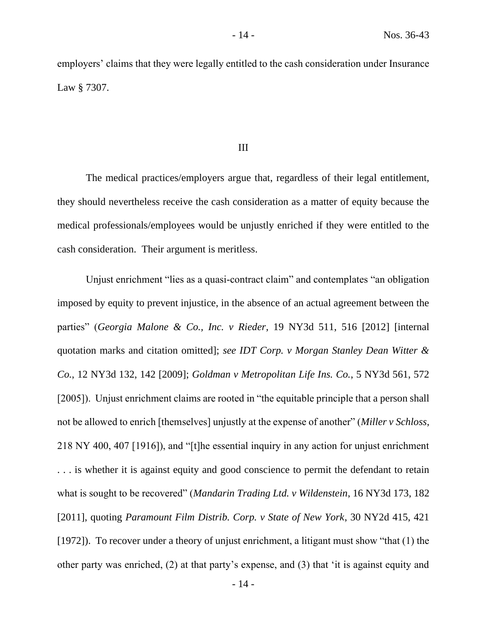employers' claims that they were legally entitled to the cash consideration under Insurance Law § 7307.

#### III

The medical practices/employers argue that, regardless of their legal entitlement, they should nevertheless receive the cash consideration as a matter of equity because the medical professionals/employees would be unjustly enriched if they were entitled to the cash consideration. Their argument is meritless.

Unjust enrichment "lies as a quasi-contract claim" and contemplates "an obligation imposed by equity to prevent injustice, in the absence of an actual agreement between the parties" (*Georgia Malone & Co., Inc. v Rieder*, 19 NY3d 511, 516 [2012] [internal quotation marks and citation omitted]; *see IDT Corp. v Morgan Stanley Dean Witter & Co.*, 12 NY3d 132, 142 [2009]; *Goldman v Metropolitan Life Ins. Co.*, 5 NY3d 561, 572 [2005]). Unjust enrichment claims are rooted in "the equitable principle that a person shall not be allowed to enrich [themselves] unjustly at the expense of another" (*Miller v Schloss*, 218 NY 400, 407 [1916]), and "[t]he essential inquiry in any action for unjust enrichment . . . is whether it is against equity and good conscience to permit the defendant to retain what is sought to be recovered" (*Mandarin Trading Ltd. v Wildenstein*, 16 NY3d 173, 182 [2011], quoting *Paramount Film Distrib. Corp. v State of New York*, 30 NY2d 415, 421 [1972]). To recover under a theory of unjust enrichment, a litigant must show "that (1) the other party was enriched, (2) at that party's expense, and (3) that 'it is against equity and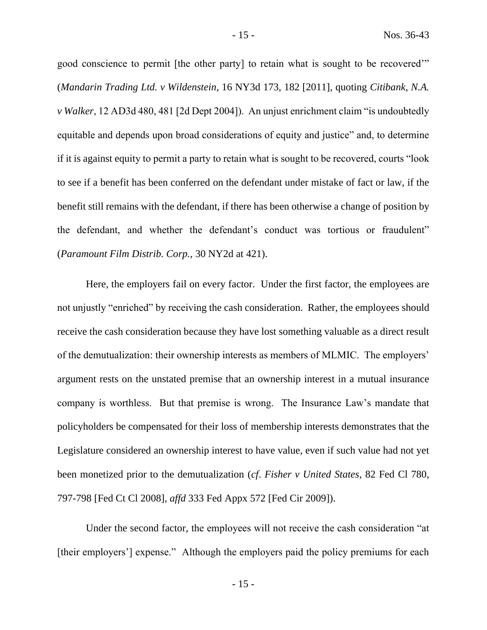good conscience to permit [the other party] to retain what is sought to be recovered'" (*Mandarin Trading Ltd. v Wildenstein*, 16 NY3d 173, 182 [2011], quoting *Citibank, N.A. v Walker*, 12 AD3d 480, 481 [2d Dept 2004]). An unjust enrichment claim "is undoubtedly equitable and depends upon broad considerations of equity and justice" and, to determine if it is against equity to permit a party to retain what is sought to be recovered, courts "look to see if a benefit has been conferred on the defendant under mistake of fact or law, if the benefit still remains with the defendant, if there has been otherwise a change of position by the defendant, and whether the defendant's conduct was tortious or fraudulent" (*Paramount Film Distrib. Corp.*, 30 NY2d at 421).

Here, the employers fail on every factor. Under the first factor, the employees are not unjustly "enriched" by receiving the cash consideration. Rather, the employees should receive the cash consideration because they have lost something valuable as a direct result of the demutualization: their ownership interests as members of MLMIC. The employers' argument rests on the unstated premise that an ownership interest in a mutual insurance company is worthless. But that premise is wrong. The Insurance Law's mandate that policyholders be compensated for their loss of membership interests demonstrates that the Legislature considered an ownership interest to have value, even if such value had not yet been monetized prior to the demutualization (*cf*. *Fisher v United States*, 82 Fed Cl 780, 797-798 [Fed Ct Cl 2008], *affd* 333 Fed Appx 572 [Fed Cir 2009]).

Under the second factor, the employees will not receive the cash consideration "at [their employers'] expense." Although the employers paid the policy premiums for each

- 15 -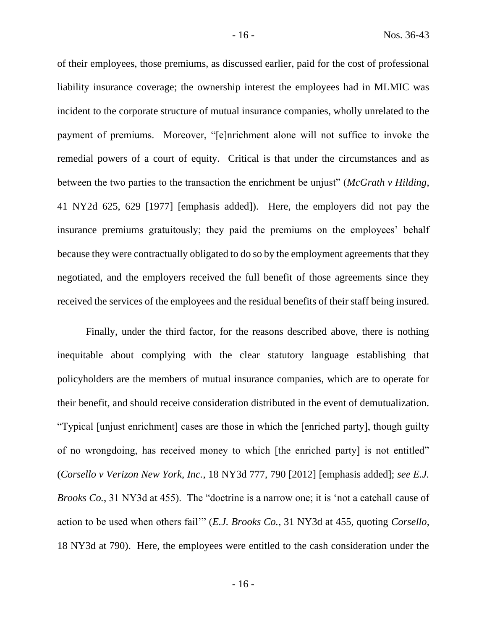of their employees, those premiums, as discussed earlier, paid for the cost of professional liability insurance coverage; the ownership interest the employees had in MLMIC was incident to the corporate structure of mutual insurance companies, wholly unrelated to the payment of premiums. Moreover, "[e]nrichment alone will not suffice to invoke the remedial powers of a court of equity. Critical is that under the circumstances and as between the two parties to the transaction the enrichment be unjust" (*McGrath v Hilding*, 41 NY2d 625, 629 [1977] [emphasis added]). Here, the employers did not pay the insurance premiums gratuitously; they paid the premiums on the employees' behalf because they were contractually obligated to do so by the employment agreements that they negotiated, and the employers received the full benefit of those agreements since they received the services of the employees and the residual benefits of their staff being insured.

Finally, under the third factor, for the reasons described above, there is nothing inequitable about complying with the clear statutory language establishing that policyholders are the members of mutual insurance companies, which are to operate for their benefit, and should receive consideration distributed in the event of demutualization. "Typical [unjust enrichment] cases are those in which the [enriched party], though guilty of no wrongdoing, has received money to which [the enriched party] is not entitled" (*Corsello v Verizon New York, Inc.*, 18 NY3d 777, 790 [2012] [emphasis added]; *see E.J. Brooks Co.*, 31 NY3d at 455). The "doctrine is a narrow one; it is 'not a catchall cause of action to be used when others fail'" (*E.J. Brooks Co.*, 31 NY3d at 455, quoting *Corsello*, 18 NY3d at 790). Here, the employees were entitled to the cash consideration under the